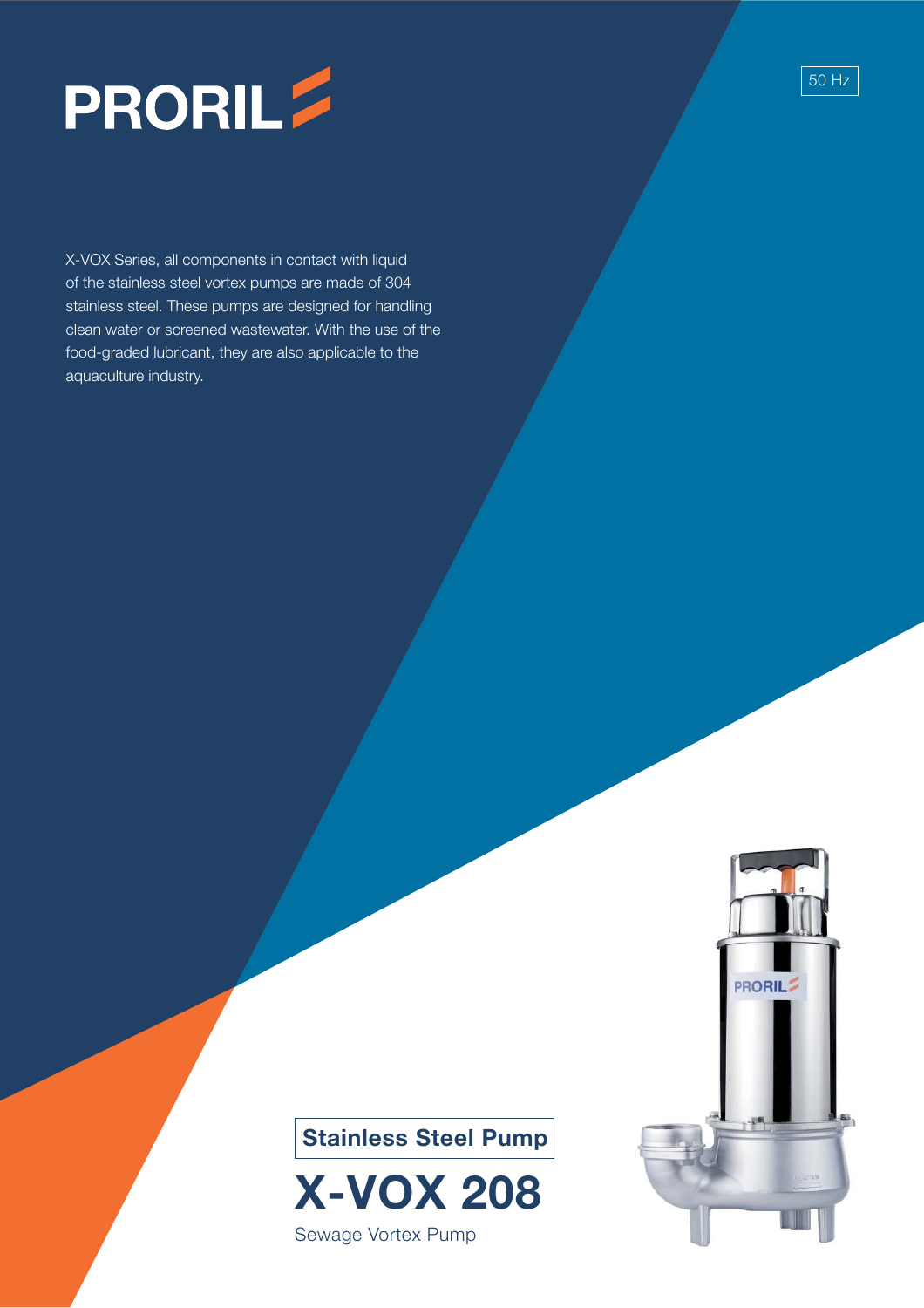

X-VOX Series, all components in contact with liquid of the stainless steel vortex pumps are made of 304 stainless steel. These pumps are designed for handling clean water or screened wastewater. With the use of the food-graded lubricant, they are also applicable to the aquaculture industry.



50 Hz





Sewage Vortex Pump